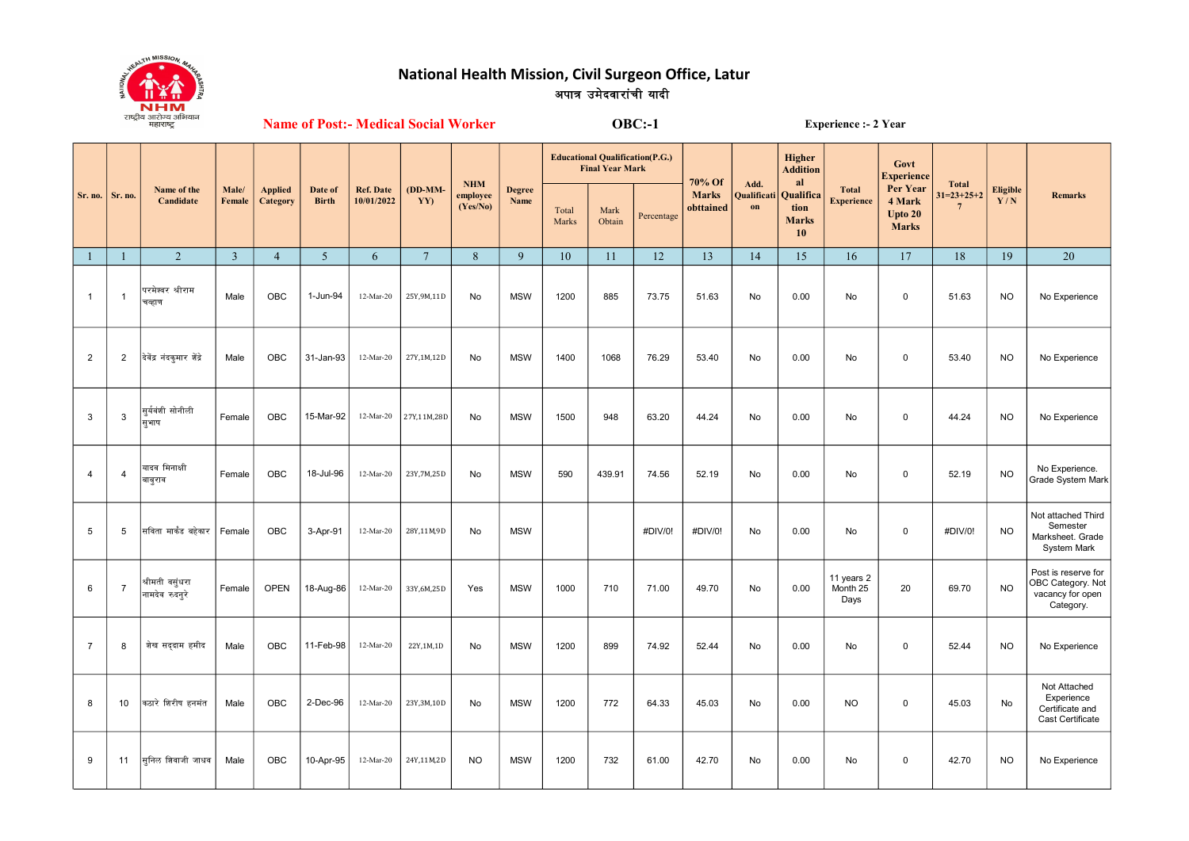

## National Health Mission, Civil Surgeon Office, Latur अपात्र उमेदवारांची यादी

**Name of Post:- Medical Social Worker** 

 $OBC: -1$ 

**Experience :- 2 Year** 

|                |                | Name of the                       |                 |                            |                         |                                | (DD-MM-<br>YY) | <b>NHM</b><br>employee<br>(Yes/No) | <b>Degree</b><br>Name |                | <b>Educational Qualification(P.G.)</b><br><b>Final Year Mark</b> |            | 70% Of                    | Add.<br>Qualificati<br>on | <b>Higher</b><br><b>Addition</b><br>al               |                                   | Govt<br><b>Experience</b>                     |                                                 |                 | <b>Remarks</b>                                                            |
|----------------|----------------|-----------------------------------|-----------------|----------------------------|-------------------------|--------------------------------|----------------|------------------------------------|-----------------------|----------------|------------------------------------------------------------------|------------|---------------------------|---------------------------|------------------------------------------------------|-----------------------------------|-----------------------------------------------|-------------------------------------------------|-----------------|---------------------------------------------------------------------------|
| Sr. no.        | Sr. no.        | Candidate                         | Male/<br>Female | <b>Applied</b><br>Category | Date of<br><b>Birth</b> | <b>Ref. Date</b><br>10/01/2022 |                |                                    |                       | Total<br>Marks | Mark<br>Obtain                                                   | Percentage | <b>Marks</b><br>obttained |                           | Qualifica<br>tion<br><b>Marks</b><br>10 <sup>°</sup> | <b>Total</b><br><b>Experience</b> | Per Year<br>4 Mark<br>Upto 20<br><b>Marks</b> | <b>Total</b><br>$31=23+25+2$<br>$7\phantom{.0}$ | Eligible<br>Y/N |                                                                           |
| $\mathbf{1}$   |                | $\overline{2}$                    | $\overline{3}$  | $\overline{4}$             | 5 <sup>5</sup>          | 6                              | $\overline{7}$ | $\, 8$                             | 9                     | 10             | 11                                                               | 12         | 13                        | 14                        | 15                                                   | 16                                | 17                                            | 18                                              | 19              | 20                                                                        |
| $\mathbf{1}$   | -1             | गरमेश्वर श्रीराम<br>वव्हाण        | Male            | <b>OBC</b>                 | 1-Jun-94                | 12-Mar-20                      | 25Y, 9M, 11D   | No                                 | <b>MSW</b>            | 1200           | 885                                                              | 73.75      | 51.63                     | No                        | 0.00                                                 | No                                | $\mathsf 0$                                   | 51.63                                           | <b>NO</b>       | No Experience                                                             |
| $\overline{2}$ | $\overline{2}$ | देवेंद्र नंदकमार ग्रेंद्रे        | Male            | <b>OBC</b>                 | 31-Jan-93               | 12-Mar-20                      | 27Y,1M,12D     | <b>No</b>                          | <b>MSW</b>            | 1400           | 1068                                                             | 76.29      | 53.40                     | No                        | 0.00                                                 | No                                | $\mathbf 0$                                   | 53.40                                           | <b>NO</b>       | No Experience                                                             |
| 3              | 3              | सूर्यवंशी सोनीली<br>सुभाष         | Female          | <b>OBC</b>                 | 15-Mar-92               | 12-Mar-20                      | 27Y,11M,28D    | No                                 | <b>MSW</b>            | 1500           | 948                                                              | 63.20      | 44.24                     | No                        | 0.00                                                 | No                                | $\mathsf 0$                                   | 44.24                                           | <b>NO</b>       | No Experience                                                             |
| 4              | $\overline{4}$ | यादव मिनाक्षी<br>बाबूराव          | Female          | OBC                        | 18-Jul-96               | 12-Mar-20                      | 23Y, 7M, 25D   | No                                 | <b>MSW</b>            | 590            | 439.91                                                           | 74.56      | 52.19                     | No                        | 0.00                                                 | No                                | $\mathsf 0$                                   | 52.19                                           | <b>NO</b>       | No Experience.<br>Grade System Mark                                       |
| 5              | 5              | सविता मार्कंड बहेकार              | Female          | <b>OBC</b>                 | 3-Apr-91                | 12-Mar-20                      | 28Y,11M,9D     | <b>No</b>                          | <b>MSW</b>            |                |                                                                  | #DIV/0!    | #DIV/0!                   | No                        | 0.00                                                 | No                                | $\mathbf 0$                                   | #DIV/0!                                         | <b>NO</b>       | Not attached Third<br>Semester<br>Marksheet. Grade<br>System Mark         |
| 6              | $\overline{7}$ | श्रीमती वसूंधरा<br>नामदेव रुदन्रे | Female          | <b>OPEN</b>                | 18-Aug-86               | 12-Mar-20                      | 33Y,6M,25D     | Yes                                | <b>MSW</b>            | 1000           | 710                                                              | 71.00      | 49.70                     | No                        | 0.00                                                 | 11 years 2<br>Month 25<br>Days    | 20                                            | 69.70                                           | <b>NO</b>       | Post is reserve for<br>OBC Category. Not<br>vacancy for open<br>Category. |
| $\overline{7}$ | 8              | शेख सददाम हमीद                    | Male            | OBC                        | 11-Feb-98               | 12-Mar-20                      | 22Y,1M,1D      | No                                 | <b>MSW</b>            | 1200           | 899                                                              | 74.92      | 52.44                     | No                        | 0.00                                                 | No                                | $\pmb{0}$                                     | 52.44                                           | <b>NO</b>       | No Experience                                                             |
| 8              | 10             | कठारे शिरीष हनमंत                 | Male            | <b>OBC</b>                 | 2-Dec-96                | 12-Mar-20                      | 23Y, 3M, 10D   | No                                 | <b>MSW</b>            | 1200           | 772                                                              | 64.33      | 45.03                     | No                        | 0.00                                                 | <b>NO</b>                         | $\pmb{0}$                                     | 45.03                                           | No              | Not Attached<br>Experience<br>Certificate and<br>Cast Certificate         |
| 9              | 11             | सुनिल शिवाजी जाधव                 | Male            | <b>OBC</b>                 | 10-Apr-95               | 12-Mar-20                      | 24Y,11M,2D     | <b>NO</b>                          | <b>MSW</b>            | 1200           | 732                                                              | 61.00      | 42.70                     | No                        | 0.00                                                 | No                                | $\pmb{0}$                                     | 42.70                                           | <b>NO</b>       | No Experience                                                             |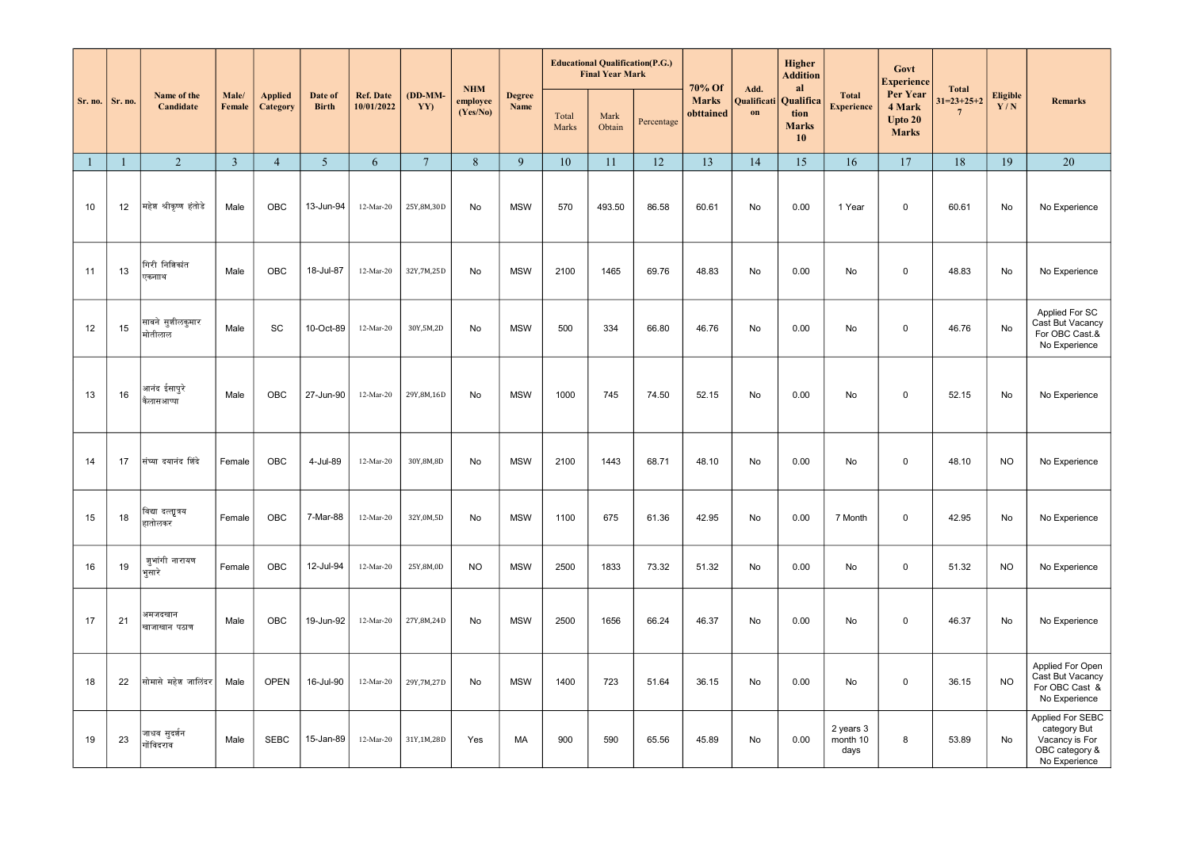|              |              | Name of the                               |                         |                            |                         |                                    |                 | <b>NHM</b><br>employee<br>(Yes/No) |                       |                | <b>Educational Qualification(P.G.)</b><br><b>Final Year Mark</b> |            | 70% Of<br>Add.            |                             | Higher<br><b>Addition</b><br>al         |                                   | Govt<br><b>Experience</b>                     | <b>Total</b>                   |                        |                                                                                       |
|--------------|--------------|-------------------------------------------|-------------------------|----------------------------|-------------------------|------------------------------------|-----------------|------------------------------------|-----------------------|----------------|------------------------------------------------------------------|------------|---------------------------|-----------------------------|-----------------------------------------|-----------------------------------|-----------------------------------------------|--------------------------------|------------------------|---------------------------------------------------------------------------------------|
| Sr. no.      | Sr. no.      | Candidate                                 | Male/<br>Female         | <b>Applied</b><br>Category | Date of<br><b>Birth</b> | <b>Ref. Date</b><br>10/01/2022     | (DD-MM-<br>YY)  |                                    | <b>Degree</b><br>Name | Total<br>Marks | Mark<br>Obtain                                                   | Percentage | <b>Marks</b><br>obttained | Qualificat<br>$\mathbf{on}$ | Qualifica<br>tion<br><b>Marks</b><br>10 | <b>Total</b><br><b>Experience</b> | Per Year<br>4 Mark<br>Upto 20<br><b>Marks</b> | $31=23+25+2$<br>$\overline{7}$ | <b>Eligible</b><br>Y/N | <b>Remarks</b>                                                                        |
| $\mathbf{1}$ | $\mathbf{1}$ | 2                                         | $\overline{\mathbf{3}}$ | $\overline{4}$             | 5 <sup>5</sup>          | 6                                  | $7\overline{ }$ | 8                                  | 9                     | 10             | 11                                                               | 12         | 13                        | 14                          | 15                                      | 16                                | 17                                            | 18                             | 19                     | 20                                                                                    |
| 10           | 12           | महेश श्रीकृष्ण हंतोडे                     | Male                    | OBC                        | 13-Jun-94               | $12-Mar-20$                        | 25Y,8M,30D      | No                                 | <b>MSW</b>            | 570            | 493.50                                                           | 86.58      | 60.61                     | No                          | 0.00                                    | 1 Year                            | $\mathbf 0$                                   | 60.61                          | No                     | No Experience                                                                         |
| 11           | 13           | गिरी निशिकांत<br>एकनााथ                   | Male                    | OBC                        | 18-Jul-87               | 12-Mar-20                          | 32Y, 7M, 25D    | No                                 | <b>MSW</b>            | 2100           | 1465                                                             | 69.76      | 48.83                     | No                          | 0.00                                    | No                                | $\mathbf 0$                                   | 48.83                          | No                     | No Experience                                                                         |
| 12           | 15           | साबने सु <mark>शीलकुमार</mark><br>मोतीलाल | Male                    | SC                         | 10-Oct-89               | $12-Mar-20$                        | 30Y,5M,2D       | No                                 | <b>MSW</b>            | 500            | 334                                                              | 66.80      | 46.76                     | No                          | 0.00                                    | No                                | $\mathbf 0$                                   | 46.76                          | No                     | Applied For SC<br>Cast But Vacancy<br>For OBC Cast.&<br>No Experience                 |
| 13           | 16           | आनंद ईसापुरे<br>कैलासआप्पा                | Male                    | OBC                        | 27-Jun-90               | $12-Mar-20$                        | 29Y, 8M, 16D    | No                                 | <b>MSW</b>            | 1000           | 745                                                              | 74.50      | 52.15                     | No                          | 0.00                                    | No                                | $\mathbf 0$                                   | 52.15                          | No                     | No Experience                                                                         |
| 14           | 17           | संघ्या दयानंद शिंदे                       | Female                  | OBC                        | 4-Jul-89                | 12-Mar-20                          | 30Y,8M,8D       | No                                 | <b>MSW</b>            | 2100           | 1443                                                             | 68.71      | 48.10                     | No                          | 0.00                                    | No                                | $\mathbf 0$                                   | 48.10                          | <b>NO</b>              | No Experience                                                                         |
| 15           | 18           | विद्यादत्त्वात्रय<br>हातोलकर              | Female                  | OBC                        | 7-Mar-88                | 12-Mar-20                          | 32Y,0M,5D       | <b>No</b>                          | <b>MSW</b>            | 1100           | 675                                                              | 61.36      | 42.95                     | No                          | 0.00                                    | 7 Month                           | $\mathbf 0$                                   | 42.95                          | No                     | No Experience                                                                         |
| 16           | 19           | ज़ूभांगी नारायण<br>भूसारे                 | Female                  | OBC                        | 12-Jul-94               | $12\mbox{-}\mathrm{Mar}\mbox{-}20$ | 25Y,8M,0D       | <b>NO</b>                          | <b>MSW</b>            | 2500           | 1833                                                             | 73.32      | 51.32                     | No                          | 0.00                                    | No                                | $\mathbf 0$                                   | 51.32                          | <b>NO</b>              | No Experience                                                                         |
| 17           | 21           | अमजदखान<br>खाजाखान पठाण                   | Male                    | OBC                        | 19-Jun-92               | 12-Mar-20                          | 27Y, 8M, 24D    | No                                 | <b>MSW</b>            | 2500           | 1656                                                             | 66.24      | 46.37                     | No                          | 0.00                                    | No                                | $\mathbf 0$                                   | 46.37                          | No                     | No Experience                                                                         |
| 18           | 22           | सोमासे महेश जालिंदर                       | Male                    | <b>OPEN</b>                | 16-Jul-90               | 12-Mar-20                          | 29Y, 7M, 27D    | No                                 | <b>MSW</b>            | 1400           | 723                                                              | 51.64      | 36.15                     | No                          | 0.00                                    | No                                | $\mathbf 0$                                   | 36.15                          | <b>NO</b>              | Applied For Open<br>Cast But Vacancy<br>For OBC Cast &<br>No Experience               |
| 19           | 23           | जाधव सूदर्शन<br>गोंविदराव                 | Male                    | <b>SEBC</b>                | 15-Jan-89               | 12-Mar-20                          | 31Y,1M,28D      | Yes                                | MA                    | 900            | 590                                                              | 65.56      | 45.89                     | No                          | 0.00                                    | 2 years 3<br>month 10<br>days     | 8                                             | 53.89                          | No                     | Applied For SEBC<br>category But<br>Vacancy is For<br>OBC category &<br>No Experience |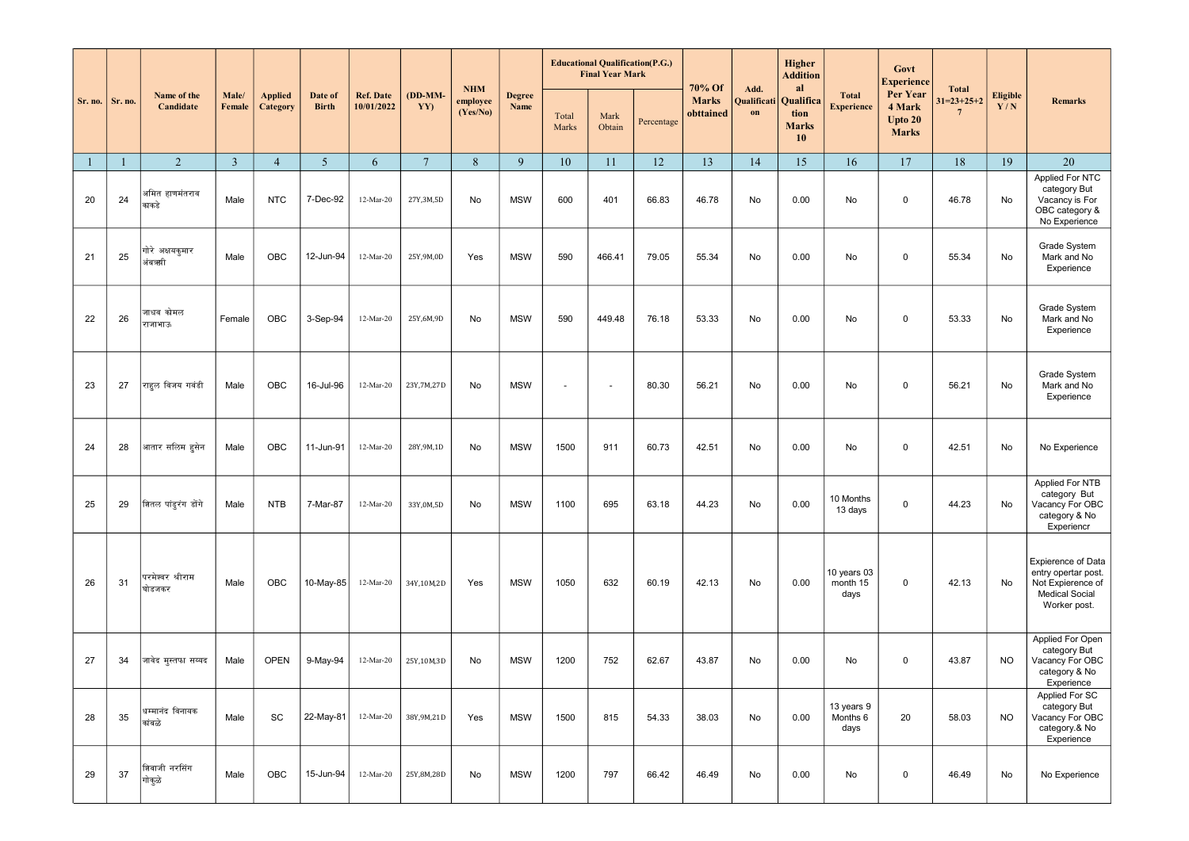|              |         | Name of the                |                 |                                   |                         |                                |                 | <b>NHM</b>           | <b>Degree</b> | <b>Educational Qualification(P.G.)</b><br><b>Final Year Mark</b> |                |            | 70% Of                    | Add.              | <b>Higher</b><br><b>Addition</b><br>al  |                                   | Govt<br><b>Experience</b>                     | <b>Total</b>                   |                        |                                                                                                         |
|--------------|---------|----------------------------|-----------------|-----------------------------------|-------------------------|--------------------------------|-----------------|----------------------|---------------|------------------------------------------------------------------|----------------|------------|---------------------------|-------------------|-----------------------------------------|-----------------------------------|-----------------------------------------------|--------------------------------|------------------------|---------------------------------------------------------------------------------------------------------|
| Sr. no.      | Sr. no. | Candidate                  | Male/<br>Female | <b>Applied</b><br><b>Category</b> | Date of<br><b>Birth</b> | <b>Ref. Date</b><br>10/01/2022 | (DD-MM-<br>YY)  | employee<br>(Yes/No) | Name          | Total<br>Marks                                                   | Mark<br>Obtain | Percentage | <b>Marks</b><br>obttained | Qualificati<br>on | Qualifica<br>tion<br><b>Marks</b><br>10 | <b>Total</b><br><b>Experience</b> | Per Year<br>4 Mark<br>Upto 20<br><b>Marks</b> | $31=23+25+2$<br>$\overline{7}$ | <b>Eligible</b><br>Y/N | <b>Remarks</b>                                                                                          |
| $\mathbf{1}$ |         | 2                          | $\overline{3}$  | $\overline{4}$                    | 5                       | 6                              | $7\phantom{.0}$ | $\,8\,$              | 9             | 10                                                               | 11             | 12         | 13                        | 14                | 15                                      | 16                                | 17                                            | 18                             | 19                     | 20                                                                                                      |
| 20           | 24      | अमित हाणमंतराव<br>काकडे    | Male            | <b>NTC</b>                        | 7-Dec-92                | 12-Mar-20                      | 27Y, 3M, 5D     | No                   | <b>MSW</b>    | 600                                                              | 401            | 66.83      | 46.78                     | No                | 0.00                                    | No                                | 0                                             | 46.78                          | No                     | Applied For NTC<br>category But<br>Vacancy is For<br>OBC category &<br>No Experience                    |
| 21           | 25      | गोरे अक्षयकुमार<br>अंबऋगी  | Male            | OBC                               | 12-Jun-94               | 12-Mar-20                      | 25Y,9M,0D       | Yes                  | <b>MSW</b>    | 590                                                              | 466.41         | 79.05      | 55.34                     | No                | 0.00                                    | No                                | 0                                             | 55.34                          | No                     | Grade System<br>Mark and No<br>Experience                                                               |
| 22           | 26      | जाधव कोमल<br>राजाभाऊ       | Female          | OBC                               | 3-Sep-94                | 12-Mar-20                      | 25Y,6M,9D       | No                   | <b>MSW</b>    | 590                                                              | 449.48         | 76.18      | 53.33                     | No                | 0.00                                    | No                                | 0                                             | 53.33                          | No                     | Grade System<br>Mark and No<br>Experience                                                               |
| 23           | 27      | राहुल विजय गवंडी           | Male            | OBC                               | 16-Jul-96               | 12-Mar-20                      | 23Y, 7M, 27D    | No                   | <b>MSW</b>    | $\overline{\phantom{a}}$                                         | $\sim$         | 80.30      | 56.21                     | No                | 0.00                                    | No                                | 0                                             | 56.21                          | No                     | Grade System<br>Mark and No<br>Experience                                                               |
| 24           | 28      | आतार सलिम हुसेन            | Male            | OBC                               | 11-Jun-91               | 12-Mar-20                      | 28Y, 9M, 1D     | No                   | <b>MSW</b>    | 1500                                                             | 911            | 60.73      | 42.51                     | No                | 0.00                                    | No                                | 0                                             | 42.51                          | No                     | No Experience                                                                                           |
| 25           | 29      | शितल पांडूरंग डोंगे        | Male            | <b>NTB</b>                        | 7-Mar-87                | 12-Mar-20                      | 33Y,0M,5D       | No                   | <b>MSW</b>    | 1100                                                             | 695            | 63.18      | 44.23                     | No                | 0.00                                    | 10 Months<br>13 days              | 0                                             | 44.23                          | No                     | Applied For NTB<br>category But<br>Vacancy For OBC<br>category & No<br>Experiencr                       |
| 26           | 31      | परमेश्वर श्रीराम<br>घोडजकर | Male            | OBC                               | 10-May-85               | 12-Mar-20                      | 34Y,10M,2D      | Yes                  | <b>MSW</b>    | 1050                                                             | 632            | 60.19      | 42.13                     | No                | 0.00                                    | 10 years 03<br>month 15<br>days   | 0                                             | 42.13                          | No                     | Expierence of Data<br>entry opertar post.<br>Not Expierence of<br><b>Medical Social</b><br>Worker post. |
| 27           | 34      | जावेद मुस्तफा सय्यद        | Male            | <b>OPEN</b>                       | 9-May-94                | 12-Mar-20                      | 25Y,10M,3D      | No                   | <b>MSW</b>    | 1200                                                             | 752            | 62.67      | 43.87                     | No                | 0.00                                    | No                                | 0                                             | 43.87                          | <b>NO</b>              | Applied For Open<br>category But<br>Vacancy For OBC<br>category & No<br>Experience                      |
| 28           | 35      | धम्मानंद विनायक<br>कांबळे  | Male            | SC                                | 22-May-81               | 12-Mar-20                      | 38Y, 9M, 21D    | Yes                  | <b>MSW</b>    | 1500                                                             | 815            | 54.33      | 38.03                     | No                | 0.00                                    | 13 years 9<br>Months 6<br>days    | 20                                            | 58.03                          | <b>NO</b>              | Applied For SC<br>category But<br>Vacancy For OBC<br>category.& No<br>Experience                        |
| 29           | 37      | शिवाजी नरसिंग<br>गोकुळे    | Male            | OBC                               | 15-Jun-94               | 12-Mar-20                      | 25Y,8M,28D      | No                   | <b>MSW</b>    | 1200                                                             | 797            | 66.42      | 46.49                     | No                | 0.00                                    | No                                | 0                                             | 46.49                          | No                     | No Experience                                                                                           |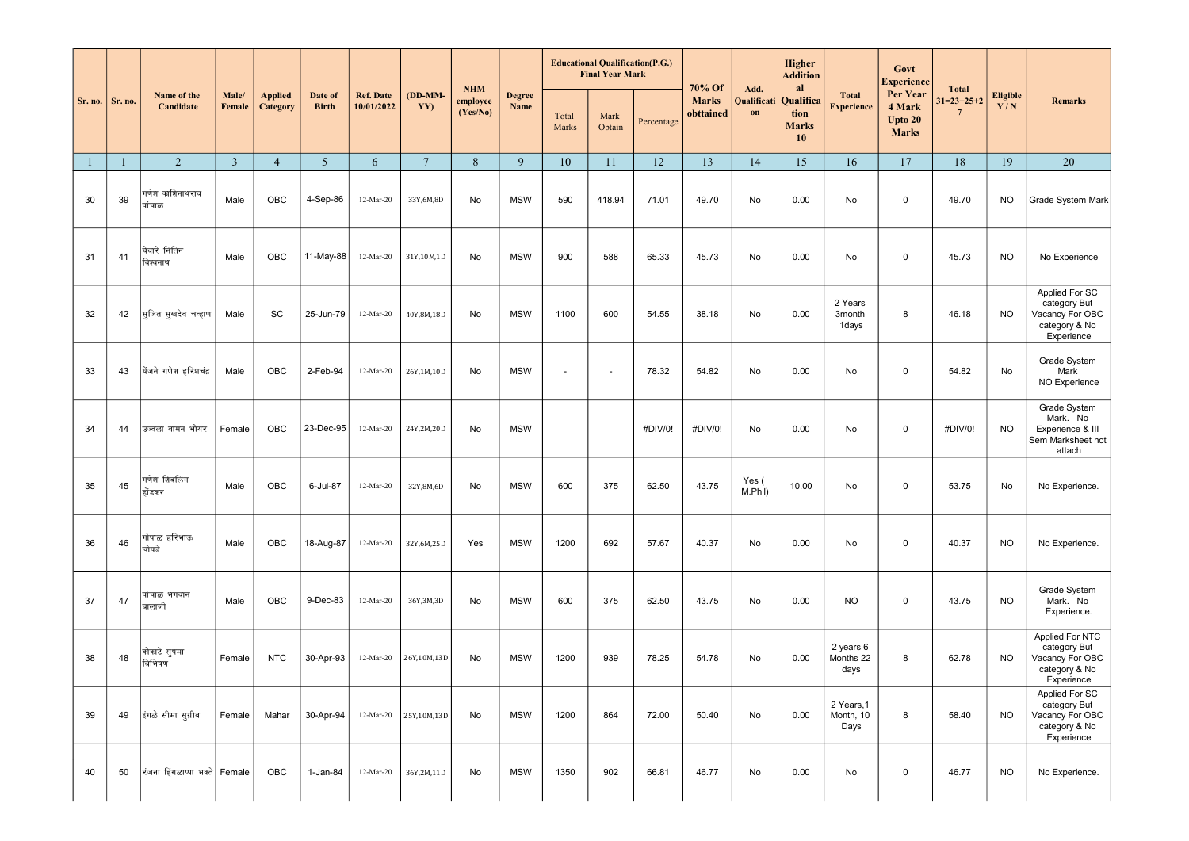|              |         | Name of the                   |                 |                            |                         | <b>Ref. Date</b><br>10/01/2022 |                 | <b>NHM</b><br>employee<br>(Yes/No) | <b>Degree</b> | <b>Educational Qualification(P.G.)</b><br><b>Final Year Mark</b> |                |            | 70% Of<br>Add.            |                   | Higher<br><b>Addition</b><br>al         |                                   | Govt<br><b>Experience</b>                     | <b>Total</b>                    |                        |                                                                                   |
|--------------|---------|-------------------------------|-----------------|----------------------------|-------------------------|--------------------------------|-----------------|------------------------------------|---------------|------------------------------------------------------------------|----------------|------------|---------------------------|-------------------|-----------------------------------------|-----------------------------------|-----------------------------------------------|---------------------------------|------------------------|-----------------------------------------------------------------------------------|
| Sr. no.      | Sr. no. | Candidate                     | Male/<br>Female | <b>Applied</b><br>Category | Date of<br><b>Birth</b> |                                | (DD-MM-<br>YY)  |                                    | Name          | Total<br>Marks                                                   | Mark<br>Obtain | Percentage | <b>Marks</b><br>obttained | Qualificati<br>on | Qualifica<br>tion<br><b>Marks</b><br>10 | <b>Total</b><br><b>Experience</b> | Per Year<br>4 Mark<br>Upto 20<br><b>Marks</b> | $31=23+25+2$<br>$7\phantom{.0}$ | <b>Eligible</b><br>Y/N | <b>Remarks</b>                                                                    |
| $\mathbf{1}$ |         | 2                             | $\overline{3}$  | $\overline{4}$             | $5\phantom{.0}$         | 6                              | $7\phantom{.0}$ | $8\,$                              | 9             | 10                                                               | 11             | 12         | 13                        | 14                | 15                                      | 16                                | 17                                            | 18                              | 19                     | 20                                                                                |
| 30           | 39      | गणेश काशिनाथराव<br>पांचाळ     | Male            | OBC                        | 4-Sep-86                | 12-Mar-20                      | 33Y,6M,8D       | No                                 | <b>MSW</b>    | 590                                                              | 418.94         | 71.01      | 49.70                     | No                | 0.00                                    | No                                | $\mathbf 0$                                   | 49.70                           | <b>NO</b>              | Grade System Mark                                                                 |
| 31           | 41      | घेवारे नितिन<br>विश्वनाथ      | Male            | <b>OBC</b>                 | 11-May-88               | 12-Mar-20                      | 31Y,10M,1D      | No                                 | <b>MSW</b>    | 900                                                              | 588            | 65.33      | 45.73                     | No                | 0.00                                    | No                                | $\mathbf 0$                                   | 45.73                           | <b>NO</b>              | No Experience                                                                     |
| 32           | 42      | सिजित सुखदेव चव्हाण           | Male            | SC                         | 25-Jun-79               | 12-Mar-20                      | 40Y, 8M, 18D    | No                                 | <b>MSW</b>    | 1100                                                             | 600            | 54.55      | 38.18                     | No                | 0.00                                    | 2 Years<br>3month<br>1days        | 8                                             | 46.18                           | <b>NO</b>              | Applied For SC<br>category But<br>Vacancy For OBC<br>category & No<br>Experience  |
| 33           | 43      | येंजने गणेश हरिशचंद्र         | Male            | OBC                        | 2-Feb-94                | 12-Mar-20                      | 26Y,1M,10D      | No                                 | <b>MSW</b>    | $\tilde{\phantom{a}}$                                            | $\blacksquare$ | 78.32      | 54.82                     | No                | 0.00                                    | No                                | $\mathbf 0$                                   | 54.82                           | No                     | Grade System<br>Mark<br>NO Experience                                             |
| 34           | 44      | उज्वला वामन भोयर              | Female          | OBC                        | 23-Dec-95               | 12-Mar-20                      | 24Y,2M,20D      | No                                 | <b>MSW</b>    |                                                                  |                | #DIV/0!    | #DIV/0!                   | No                | 0.00                                    | No                                | $\mathbf 0$                                   | #DIV/0!                         | <b>NO</b>              | Grade System<br>Mark. No<br>Experience & III<br>Sem Marksheet not<br>attach       |
| 35           | 45      | गणेश शिवलिंग<br>होंडकर        | Male            | OBC                        | 6-Jul-87                | 12-Mar-20                      | 32Y,8M,6D       | No                                 | <b>MSW</b>    | 600                                                              | 375            | 62.50      | 43.75                     | Yes (<br>M.Phil)  | 10.00                                   | No                                | $\mathbf 0$                                   | 53.75                           | No                     | No Experience.                                                                    |
| 36           | 46      | गोपाळ हरिभाऊ<br>चोपडे         | Male            | OBC                        | 18-Aug-87               | 12-Mar-20                      | 32Y,6M,25D      | Yes                                | <b>MSW</b>    | 1200                                                             | 692            | 57.67      | 40.37                     | No                | 0.00                                    | No                                | $\mathbf 0$                                   | 40.37                           | <b>NO</b>              | No Experience.                                                                    |
| 37           | 47      | पांचाळ भगवान<br>बालाजी        | Male            | OBC                        | 9-Dec-83                | 12-Mar-20                      | 36Y, 3M, 3D     | No                                 | <b>MSW</b>    | 600                                                              | 375            | 62.50      | 43.75                     | No                | 0.00                                    | <b>NO</b>                         | $\mathbf 0$                                   | 43.75                           | <b>NO</b>              | Grade System<br>Mark. No<br>Experience.                                           |
| 38           | 48      | कोकाटे सुषमा<br>बिभिषण        | Female          | <b>NTC</b>                 | 30-Apr-93               | 12-Mar-20                      | 26Y,10M,13D     | No                                 | <b>MSW</b>    | 1200                                                             | 939            | 78.25      | 54.78                     | No                | 0.00                                    | 2 years 6<br>Months 22<br>days    | 8                                             | 62.78                           | <b>NO</b>              | Applied For NTC<br>category But<br>Vacancy For OBC<br>category & No<br>Experience |
| 39           | 49      | इंगळे सीमा सुग्रीव            | Female          | Mahar                      | 30-Apr-94               | 12-Mar-20                      | 25Y,10M,13D     | No                                 | <b>MSW</b>    | 1200                                                             | 864            | 72.00      | 50.40                     | No                | 0.00                                    | 2 Years, 1<br>Month, 10<br>Days   | 8                                             | 58.40                           | <b>NO</b>              | Applied For SC<br>category But<br>Vacancy For OBC<br>category & No<br>Experience  |
| 40           | 50      | रंजना हिंगळाप्पा भक्ते Female |                 | OBC                        | 1-Jan-84                | 12-Mar-20                      | 36Y,2M,11D      | No                                 | <b>MSW</b>    | 1350                                                             | 902            | 66.81      | 46.77                     | No                | 0.00                                    | No                                | $\mathsf 0$                                   | 46.77                           | <b>NO</b>              | No Experience.                                                                    |